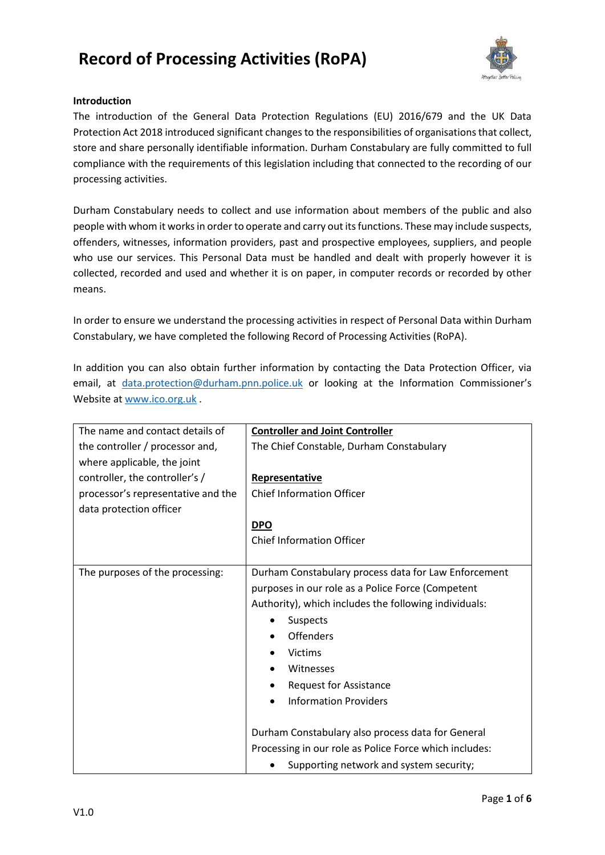

#### **Introduction**

The introduction of the General Data Protection Regulations (EU) 2016/679 and the UK Data Protection Act 2018 introduced significant changes to the responsibilities of organisations that collect, store and share personally identifiable information. Durham Constabulary are fully committed to full compliance with the requirements of this legislation including that connected to the recording of our processing activities.

Durham Constabulary needs to collect and use information about members of the public and also people with whom it works in order to operate and carry out its functions. These may include suspects, offenders, witnesses, information providers, past and prospective employees, suppliers, and people who use our services. This Personal Data must be handled and dealt with properly however it is collected, recorded and used and whether it is on paper, in computer records or recorded by other means.

In order to ensure we understand the processing activities in respect of Personal Data within Durham Constabulary, we have completed the following Record of Processing Activities (RoPA).

In addition you can also obtain further information by contacting the Data Protection Officer, via email, at [data.protection@durham.pnn.police.uk](mailto:data.protection@durham.pnn.police.uk) or looking at the Information Commissioner's Website at [www.ico.org.uk](http://www.ico.org.uk/) .

| The name and contact details of    | <b>Controller and Joint Controller</b>                 |
|------------------------------------|--------------------------------------------------------|
| the controller / processor and,    | The Chief Constable, Durham Constabulary               |
| where applicable, the joint        |                                                        |
| controller, the controller's /     | Representative                                         |
| processor's representative and the | <b>Chief Information Officer</b>                       |
| data protection officer            |                                                        |
|                                    | <b>DPO</b>                                             |
|                                    | <b>Chief Information Officer</b>                       |
|                                    |                                                        |
| The purposes of the processing:    | Durham Constabulary process data for Law Enforcement   |
|                                    | purposes in our role as a Police Force (Competent      |
|                                    | Authority), which includes the following individuals:  |
|                                    | Suspects<br>$\bullet$                                  |
|                                    | <b>Offenders</b><br>$\bullet$                          |
|                                    | <b>Victims</b>                                         |
|                                    | Witnesses<br>$\bullet$                                 |
|                                    | <b>Request for Assistance</b><br>٠                     |
|                                    | <b>Information Providers</b><br>$\bullet$              |
|                                    |                                                        |
|                                    | Durham Constabulary also process data for General      |
|                                    | Processing in our role as Police Force which includes: |
|                                    | Supporting network and system security;                |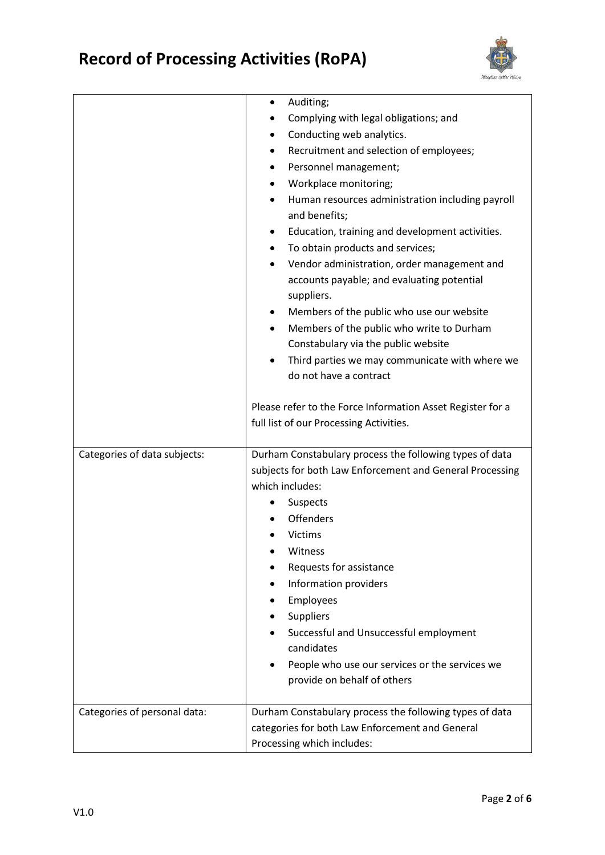

|                              | Auditing;<br>٠                                                                                                       |
|------------------------------|----------------------------------------------------------------------------------------------------------------------|
|                              | Complying with legal obligations; and                                                                                |
|                              | Conducting web analytics.<br>٠                                                                                       |
|                              | Recruitment and selection of employees;                                                                              |
|                              | Personnel management;                                                                                                |
|                              | Workplace monitoring;<br>٠                                                                                           |
|                              | Human resources administration including payroll<br>and benefits;                                                    |
|                              | Education, training and development activities.<br>٠                                                                 |
|                              | To obtain products and services;                                                                                     |
|                              | Vendor administration, order management and<br>$\bullet$<br>accounts payable; and evaluating potential<br>suppliers. |
|                              | Members of the public who use our website<br>٠                                                                       |
|                              | Members of the public who write to Durham<br>$\bullet$                                                               |
|                              | Constabulary via the public website                                                                                  |
|                              | Third parties we may communicate with where we<br>$\bullet$                                                          |
|                              | do not have a contract                                                                                               |
|                              | Please refer to the Force Information Asset Register for a<br>full list of our Processing Activities.                |
| Categories of data subjects: | Durham Constabulary process the following types of data                                                              |
|                              | subjects for both Law Enforcement and General Processing                                                             |
|                              | which includes:                                                                                                      |
|                              | Suspects                                                                                                             |
|                              | Offenders                                                                                                            |
|                              | <b>Victims</b>                                                                                                       |
|                              | Witness                                                                                                              |
|                              | Requests for assistance                                                                                              |
|                              | Information providers                                                                                                |
|                              | Employees                                                                                                            |
|                              | Suppliers                                                                                                            |
|                              | Successful and Unsuccessful employment<br>candidates                                                                 |
|                              | People who use our services or the services we<br>$\bullet$                                                          |
|                              | provide on behalf of others                                                                                          |
|                              |                                                                                                                      |
| Categories of personal data: | Durham Constabulary process the following types of data                                                              |
|                              |                                                                                                                      |
|                              | categories for both Law Enforcement and General                                                                      |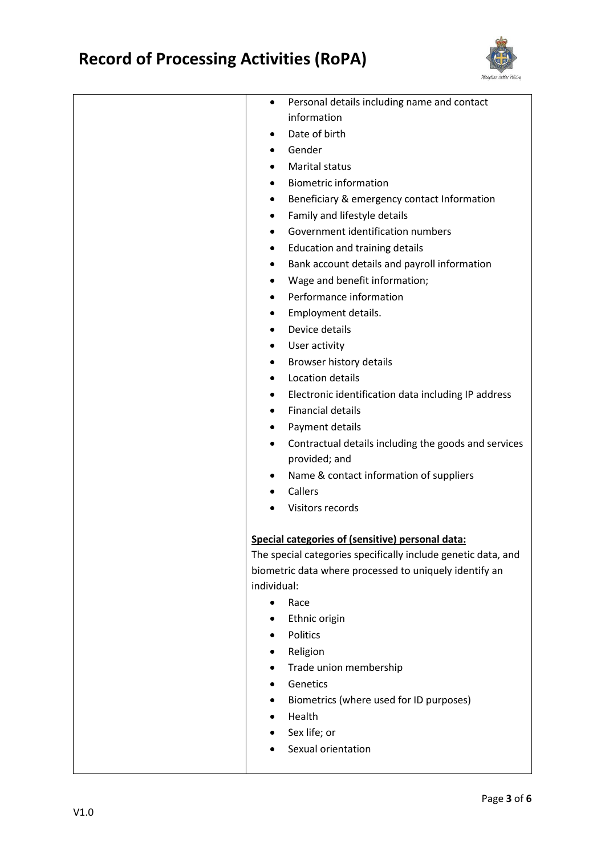

| Personal details including name and contact<br>٠                                                                  |
|-------------------------------------------------------------------------------------------------------------------|
| information                                                                                                       |
| Date of birth                                                                                                     |
| Gender<br>٠                                                                                                       |
| Marital status                                                                                                    |
| <b>Biometric information</b><br>٠                                                                                 |
| Beneficiary & emergency contact Information                                                                       |
| Family and lifestyle details<br>٠                                                                                 |
| Government identification numbers                                                                                 |
| Education and training details<br>٠                                                                               |
| Bank account details and payroll information<br>٠                                                                 |
| Wage and benefit information;                                                                                     |
| Performance information                                                                                           |
| Employment details.                                                                                               |
| Device details<br>$\bullet$                                                                                       |
| User activity                                                                                                     |
| Browser history details                                                                                           |
| Location details<br>$\bullet$                                                                                     |
| Electronic identification data including IP address                                                               |
| <b>Financial details</b>                                                                                          |
| Payment details<br>٠                                                                                              |
| Contractual details including the goods and services<br>٠                                                         |
| provided; and                                                                                                     |
| Name & contact information of suppliers<br>٠                                                                      |
| Callers                                                                                                           |
| Visitors records                                                                                                  |
|                                                                                                                   |
| Special categories of (sensitive) personal data:<br>The special categories specifically include genetic data, and |
| biometric data where processed to uniquely identify an                                                            |
| individual:                                                                                                       |
| Race<br>$\bullet$                                                                                                 |
| Ethnic origin                                                                                                     |
| Politics                                                                                                          |
| Religion                                                                                                          |
| Trade union membership                                                                                            |
| Genetics                                                                                                          |
| Biometrics (where used for ID purposes)                                                                           |
| Health                                                                                                            |
| Sex life; or                                                                                                      |
| Sexual orientation                                                                                                |
|                                                                                                                   |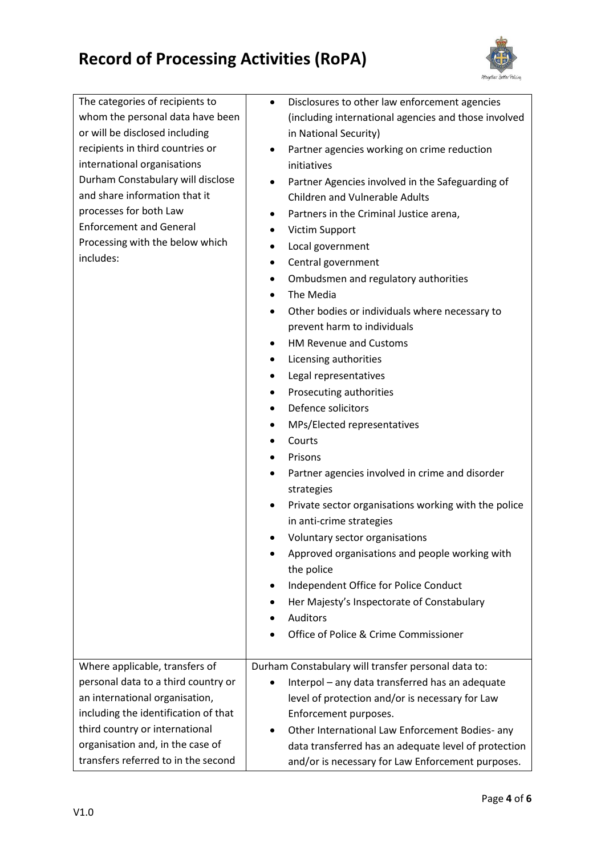

| The categories of recipients to      | Disclosures to other law enforcement agencies<br>$\bullet$                                |
|--------------------------------------|-------------------------------------------------------------------------------------------|
| whom the personal data have been     | (including international agencies and those involved                                      |
| or will be disclosed including       | in National Security)                                                                     |
| recipients in third countries or     | Partner agencies working on crime reduction<br>٠                                          |
| international organisations          | initiatives                                                                               |
| Durham Constabulary will disclose    |                                                                                           |
| and share information that it        | Partner Agencies involved in the Safeguarding of<br><b>Children and Vulnerable Adults</b> |
| processes for both Law               |                                                                                           |
| <b>Enforcement and General</b>       | Partners in the Criminal Justice arena,<br>٠                                              |
| Processing with the below which      | Victim Support                                                                            |
| includes:                            | Local government<br>$\bullet$                                                             |
|                                      | Central government<br>٠                                                                   |
|                                      | Ombudsmen and regulatory authorities                                                      |
|                                      | The Media<br>$\bullet$                                                                    |
|                                      | Other bodies or individuals where necessary to                                            |
|                                      | prevent harm to individuals                                                               |
|                                      | HM Revenue and Customs<br>٠                                                               |
|                                      | Licensing authorities<br>٠                                                                |
|                                      | Legal representatives                                                                     |
|                                      | Prosecuting authorities<br>٠                                                              |
|                                      | Defence solicitors                                                                        |
|                                      | MPs/Elected representatives<br>٠                                                          |
|                                      | Courts<br>$\bullet$                                                                       |
|                                      | Prisons                                                                                   |
|                                      | Partner agencies involved in crime and disorder                                           |
|                                      | strategies                                                                                |
|                                      | Private sector organisations working with the police                                      |
|                                      | in anti-crime strategies                                                                  |
|                                      | Voluntary sector organisations                                                            |
|                                      | Approved organisations and people working with                                            |
|                                      | the police                                                                                |
|                                      | Independent Office for Police Conduct                                                     |
|                                      | Her Majesty's Inspectorate of Constabulary                                                |
|                                      | Auditors                                                                                  |
|                                      | Office of Police & Crime Commissioner                                                     |
|                                      |                                                                                           |
| Where applicable, transfers of       | Durham Constabulary will transfer personal data to:                                       |
| personal data to a third country or  | Interpol - any data transferred has an adequate                                           |
| an international organisation,       | level of protection and/or is necessary for Law                                           |
| including the identification of that | Enforcement purposes.                                                                     |
| third country or international       | Other International Law Enforcement Bodies- any                                           |
| organisation and, in the case of     | data transferred has an adequate level of protection                                      |
| transfers referred to in the second  | and/or is necessary for Law Enforcement purposes.                                         |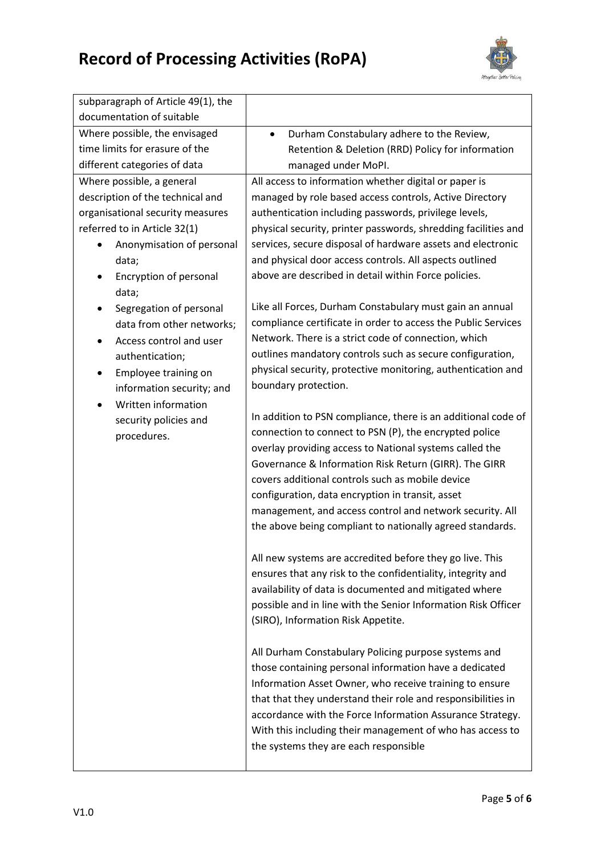

| subparagraph of Article 49(1), the               |                                                                                                                           |
|--------------------------------------------------|---------------------------------------------------------------------------------------------------------------------------|
| documentation of suitable                        |                                                                                                                           |
| Where possible, the envisaged                    | Durham Constabulary adhere to the Review,<br>$\bullet$                                                                    |
| time limits for erasure of the                   | Retention & Deletion (RRD) Policy for information                                                                         |
| different categories of data                     | managed under MoPI.                                                                                                       |
| Where possible, a general                        | All access to information whether digital or paper is                                                                     |
| description of the technical and                 | managed by role based access controls, Active Directory                                                                   |
| organisational security measures                 | authentication including passwords, privilege levels,                                                                     |
| referred to in Article 32(1)                     | physical security, printer passwords, shredding facilities and                                                            |
| Anonymisation of personal                        | services, secure disposal of hardware assets and electronic                                                               |
| data;                                            | and physical door access controls. All aspects outlined                                                                   |
| Encryption of personal                           | above are described in detail within Force policies.                                                                      |
| data;                                            |                                                                                                                           |
| Segregation of personal                          | Like all Forces, Durham Constabulary must gain an annual<br>compliance certificate in order to access the Public Services |
| data from other networks;                        | Network. There is a strict code of connection, which                                                                      |
| Access control and user                          | outlines mandatory controls such as secure configuration,                                                                 |
| authentication;                                  | physical security, protective monitoring, authentication and                                                              |
| Employee training on<br>٠                        | boundary protection.                                                                                                      |
| information security; and<br>Written information |                                                                                                                           |
|                                                  | In addition to PSN compliance, there is an additional code of                                                             |
| security policies and<br>procedures.             | connection to connect to PSN (P), the encrypted police                                                                    |
|                                                  | overlay providing access to National systems called the                                                                   |
|                                                  | Governance & Information Risk Return (GIRR). The GIRR                                                                     |
|                                                  | covers additional controls such as mobile device                                                                          |
|                                                  | configuration, data encryption in transit, asset                                                                          |
|                                                  | management, and access control and network security. All                                                                  |
|                                                  | the above being compliant to nationally agreed standards.                                                                 |
|                                                  |                                                                                                                           |
|                                                  | All new systems are accredited before they go live. This                                                                  |
|                                                  | ensures that any risk to the confidentiality, integrity and                                                               |
|                                                  | availability of data is documented and mitigated where                                                                    |
|                                                  | possible and in line with the Senior Information Risk Officer                                                             |
|                                                  | (SIRO), Information Risk Appetite.                                                                                        |
|                                                  |                                                                                                                           |
|                                                  | All Durham Constabulary Policing purpose systems and                                                                      |
|                                                  | those containing personal information have a dedicated                                                                    |
|                                                  | Information Asset Owner, who receive training to ensure                                                                   |
|                                                  | that that they understand their role and responsibilities in                                                              |
|                                                  | accordance with the Force Information Assurance Strategy.                                                                 |
|                                                  | With this including their management of who has access to                                                                 |
|                                                  | the systems they are each responsible                                                                                     |
|                                                  |                                                                                                                           |